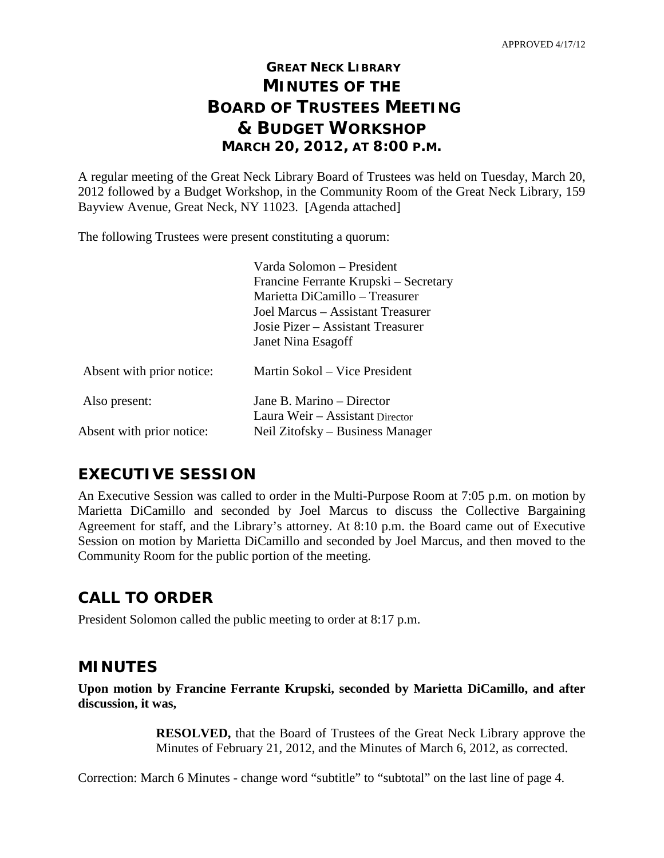# **GREAT NECK LIBRARY MINUTES OF THE BOARD OF TRUSTEES MEETING & BUDGET WORKSHOP MARCH 20, 2012, AT 8:00 P.M.**

A regular meeting of the Great Neck Library Board of Trustees was held on Tuesday, March 20, 2012 followed by a Budget Workshop, in the Community Room of the Great Neck Library, 159 Bayview Avenue, Great Neck, NY 11023. [Agenda attached]

The following Trustees were present constituting a quorum:

|                           | Varda Solomon – President<br>Francine Ferrante Krupski – Secretary<br>Marietta DiCamillo – Treasurer<br>Joel Marcus – Assistant Treasurer<br>Josie Pizer – Assistant Treasurer<br>Janet Nina Esagoff |
|---------------------------|------------------------------------------------------------------------------------------------------------------------------------------------------------------------------------------------------|
| Absent with prior notice: | Martin Sokol – Vice President                                                                                                                                                                        |
| Also present:             | Jane B. Marino – Director                                                                                                                                                                            |
|                           | Laura Weir – Assistant Director                                                                                                                                                                      |
| Absent with prior notice: | Neil Zitofsky – Business Manager                                                                                                                                                                     |

# **EXECUTIVE SESSION**

An Executive Session was called to order in the Multi-Purpose Room at 7:05 p.m. on motion by Marietta DiCamillo and seconded by Joel Marcus to discuss the Collective Bargaining Agreement for staff, and the Library's attorney. At 8:10 p.m. the Board came out of Executive Session on motion by Marietta DiCamillo and seconded by Joel Marcus, and then moved to the Community Room for the public portion of the meeting.

# **CALL TO ORDER**

President Solomon called the public meeting to order at 8:17 p.m.

# **MINUTES**

**Upon motion by Francine Ferrante Krupski, seconded by Marietta DiCamillo, and after discussion, it was,**

> **RESOLVED,** that the Board of Trustees of the Great Neck Library approve the Minutes of February 21, 2012, and the Minutes of March 6, 2012, as corrected.

Correction: March 6 Minutes - change word "subtitle" to "subtotal" on the last line of page 4.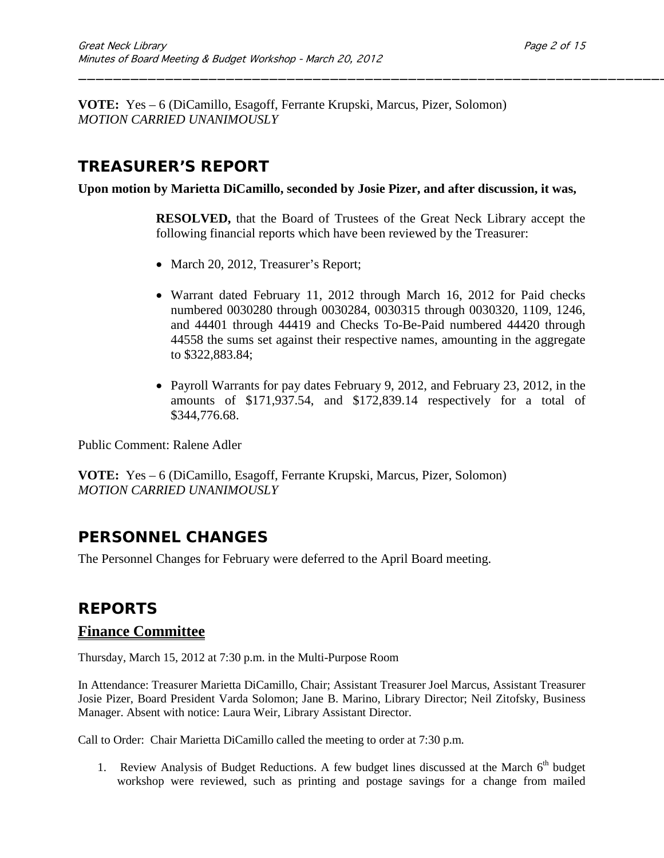**VOTE:** Yes – 6 (DiCamillo, Esagoff, Ferrante Krupski, Marcus, Pizer, Solomon) *MOTION CARRIED UNANIMOUSLY*

# **TREASURER'S REPORT**

**Upon motion by Marietta DiCamillo, seconded by Josie Pizer, and after discussion, it was,**

**RESOLVED,** that the Board of Trustees of the Great Neck Library accept the following financial reports which have been reviewed by the Treasurer:

\_\_\_\_\_\_\_\_\_\_\_\_\_\_\_\_\_\_\_\_\_\_\_\_\_\_\_\_\_\_\_\_\_\_\_\_\_\_\_\_\_\_\_\_\_\_\_\_\_\_\_\_\_\_\_\_\_\_\_\_\_\_\_\_\_\_\_\_

- March 20, 2012, Treasurer's Report;
- Warrant dated February 11, 2012 through March 16, 2012 for Paid checks numbered 0030280 through 0030284, 0030315 through 0030320, 1109, 1246, and 44401 through 44419 and Checks To-Be-Paid numbered 44420 through 44558 the sums set against their respective names, amounting in the aggregate to \$322,883.84;
- Payroll Warrants for pay dates February 9, 2012, and February 23, 2012, in the amounts of \$171,937.54, and \$172,839.14 respectively for a total of \$344,776.68.

Public Comment: Ralene Adler

**VOTE:** Yes – 6 (DiCamillo, Esagoff, Ferrante Krupski, Marcus, Pizer, Solomon) *MOTION CARRIED UNANIMOUSLY*

# **PERSONNEL CHANGES**

The Personnel Changes for February were deferred to the April Board meeting.

### **REPORTS**

### **Finance Committee**

Thursday, March 15, 2012 at 7:30 p.m. in the Multi-Purpose Room

In Attendance: Treasurer Marietta DiCamillo, Chair; Assistant Treasurer Joel Marcus, Assistant Treasurer Josie Pizer, Board President Varda Solomon; Jane B. Marino, Library Director; Neil Zitofsky, Business Manager. Absent with notice: Laura Weir, Library Assistant Director.

Call to Order:Chair Marietta DiCamillo called the meeting to order at 7:30 p.m.

1. Review Analysis of Budget Reductions. A few budget lines discussed at the March  $6<sup>th</sup>$  budget workshop were reviewed, such as printing and postage savings for a change from mailed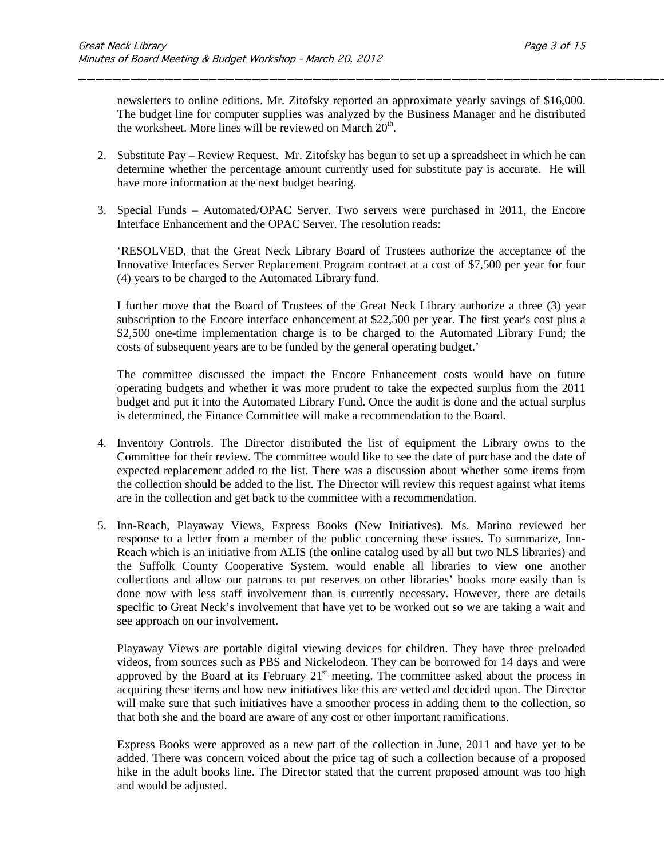newsletters to online editions. Mr. Zitofsky reported an approximate yearly savings of \$16,000. The budget line for computer supplies was analyzed by the Business Manager and he distributed the worksheet. More lines will be reviewed on March  $20<sup>th</sup>$ .

\_\_\_\_\_\_\_\_\_\_\_\_\_\_\_\_\_\_\_\_\_\_\_\_\_\_\_\_\_\_\_\_\_\_\_\_\_\_\_\_\_\_\_\_\_\_\_\_\_\_\_\_\_\_\_\_\_\_\_\_\_\_\_\_\_\_\_\_

- 2. Substitute Pay Review Request. Mr. Zitofsky has begun to set up a spreadsheet in which he can determine whether the percentage amount currently used for substitute pay is accurate. He will have more information at the next budget hearing.
- 3. Special Funds Automated/OPAC Server. Two servers were purchased in 2011, the Encore Interface Enhancement and the OPAC Server. The resolution reads:

'RESOLVED, that the Great Neck Library Board of Trustees authorize the acceptance of the Innovative Interfaces Server Replacement Program contract at a cost of \$7,500 per year for four (4) years to be charged to the Automated Library fund.

I further move that the Board of Trustees of the Great Neck Library authorize a three (3) year subscription to the Encore interface enhancement at \$22,500 per year. The first year's cost plus a \$2,500 one-time implementation charge is to be charged to the Automated Library Fund; the costs of subsequent years are to be funded by the general operating budget.'

The committee discussed the impact the Encore Enhancement costs would have on future operating budgets and whether it was more prudent to take the expected surplus from the 2011 budget and put it into the Automated Library Fund. Once the audit is done and the actual surplus is determined, the Finance Committee will make a recommendation to the Board.

- 4. Inventory Controls. The Director distributed the list of equipment the Library owns to the Committee for their review. The committee would like to see the date of purchase and the date of expected replacement added to the list. There was a discussion about whether some items from the collection should be added to the list. The Director will review this request against what items are in the collection and get back to the committee with a recommendation.
- 5. Inn-Reach, Playaway Views, Express Books (New Initiatives). Ms. Marino reviewed her response to a letter from a member of the public concerning these issues. To summarize, Inn-Reach which is an initiative from ALIS (the online catalog used by all but two NLS libraries) and the Suffolk County Cooperative System, would enable all libraries to view one another collections and allow our patrons to put reserves on other libraries' books more easily than is done now with less staff involvement than is currently necessary. However, there are details specific to Great Neck's involvement that have yet to be worked out so we are taking a wait and see approach on our involvement.

Playaway Views are portable digital viewing devices for children. They have three preloaded videos, from sources such as PBS and Nickelodeon. They can be borrowed for 14 days and were approved by the Board at its February  $21<sup>st</sup>$  meeting. The committee asked about the process in acquiring these items and how new initiatives like this are vetted and decided upon. The Director will make sure that such initiatives have a smoother process in adding them to the collection, so that both she and the board are aware of any cost or other important ramifications.

Express Books were approved as a new part of the collection in June, 2011 and have yet to be added. There was concern voiced about the price tag of such a collection because of a proposed hike in the adult books line. The Director stated that the current proposed amount was too high and would be adjusted.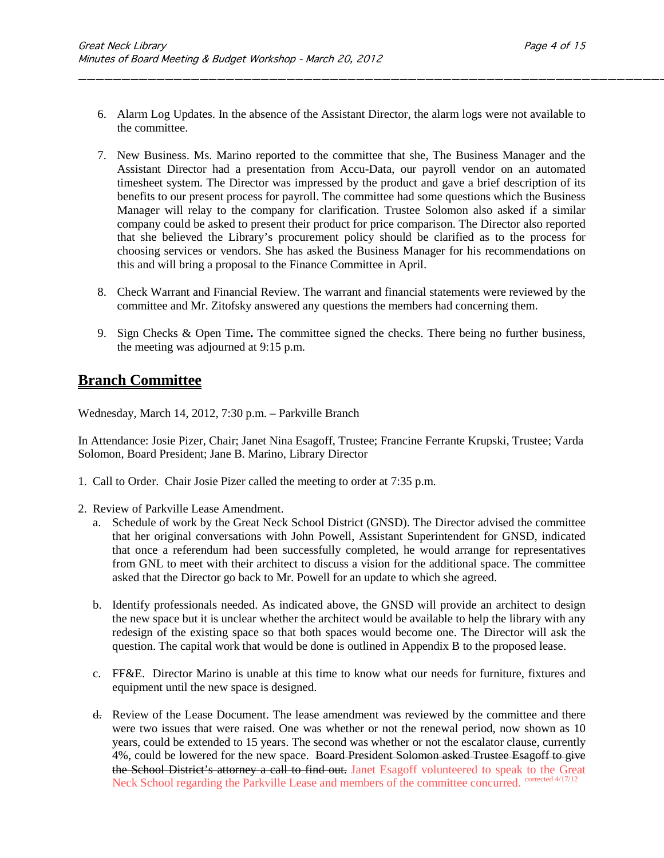6. Alarm Log Updates. In the absence of the Assistant Director, the alarm logs were not available to the committee.

\_\_\_\_\_\_\_\_\_\_\_\_\_\_\_\_\_\_\_\_\_\_\_\_\_\_\_\_\_\_\_\_\_\_\_\_\_\_\_\_\_\_\_\_\_\_\_\_\_\_\_\_\_\_\_\_\_\_\_\_\_\_\_\_\_\_\_\_

- 7. New Business. Ms. Marino reported to the committee that she, The Business Manager and the Assistant Director had a presentation from Accu-Data, our payroll vendor on an automated timesheet system. The Director was impressed by the product and gave a brief description of its benefits to our present process for payroll. The committee had some questions which the Business Manager will relay to the company for clarification. Trustee Solomon also asked if a similar company could be asked to present their product for price comparison. The Director also reported that she believed the Library's procurement policy should be clarified as to the process for choosing services or vendors. She has asked the Business Manager for his recommendations on this and will bring a proposal to the Finance Committee in April.
- 8. Check Warrant and Financial Review. The warrant and financial statements were reviewed by the committee and Mr. Zitofsky answered any questions the members had concerning them.
- 9. Sign Checks & Open Time**.** The committee signed the checks. There being no further business, the meeting was adjourned at 9:15 p.m.

## **Branch Committee**

Wednesday, March 14, 2012, 7:30 p.m. – Parkville Branch

In Attendance: Josie Pizer, Chair; Janet Nina Esagoff, Trustee; Francine Ferrante Krupski, Trustee; Varda Solomon, Board President; Jane B. Marino, Library Director

- 1. Call to Order. Chair Josie Pizer called the meeting to order at 7:35 p.m.
- 2. Review of Parkville Lease Amendment.
	- a. Schedule of work by the Great Neck School District (GNSD). The Director advised the committee that her original conversations with John Powell, Assistant Superintendent for GNSD, indicated that once a referendum had been successfully completed, he would arrange for representatives from GNL to meet with their architect to discuss a vision for the additional space. The committee asked that the Director go back to Mr. Powell for an update to which she agreed.
	- b. Identify professionals needed. As indicated above, the GNSD will provide an architect to design the new space but it is unclear whether the architect would be available to help the library with any redesign of the existing space so that both spaces would become one. The Director will ask the question. The capital work that would be done is outlined in Appendix B to the proposed lease.
	- c. FF&E. Director Marino is unable at this time to know what our needs for furniture, fixtures and equipment until the new space is designed.
	- d. Review of the Lease Document. The lease amendment was reviewed by the committee and there were two issues that were raised. One was whether or not the renewal period, now shown as 10 years, could be extended to 15 years. The second was whether or not the escalator clause, currently 4%, could be lowered for the new space. Board President Solomon asked Trustee Esagoff to give the School District's attorney a call to find out. Janet Esagoff volunteered to speak to the Great Neck School regarding the Parkville Lease and members of the committee concurred. <sup>corrected 4/17/12</sup>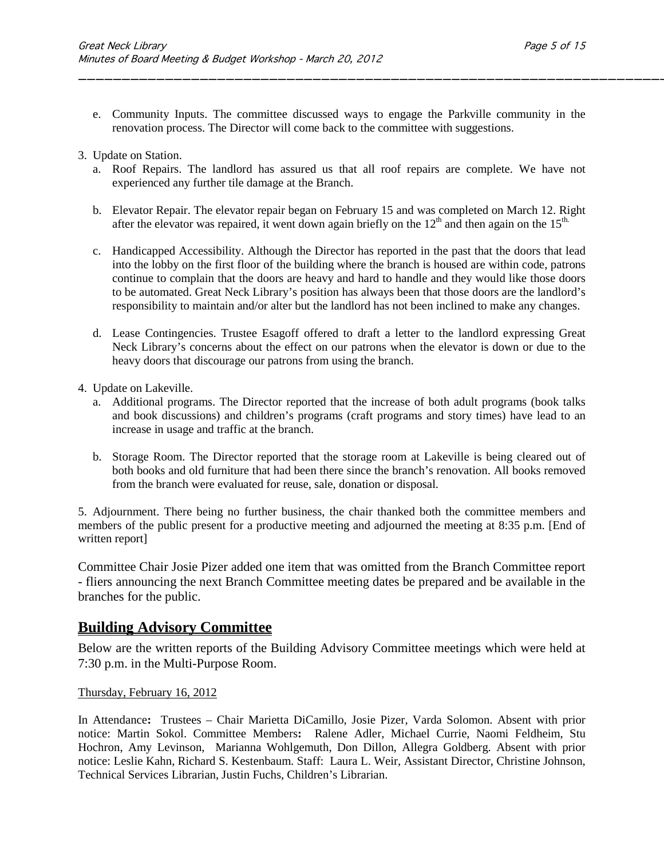e. Community Inputs. The committee discussed ways to engage the Parkville community in the renovation process. The Director will come back to the committee with suggestions.

\_\_\_\_\_\_\_\_\_\_\_\_\_\_\_\_\_\_\_\_\_\_\_\_\_\_\_\_\_\_\_\_\_\_\_\_\_\_\_\_\_\_\_\_\_\_\_\_\_\_\_\_\_\_\_\_\_\_\_\_\_\_\_\_\_\_\_\_

- 3. Update on Station.
	- a. Roof Repairs. The landlord has assured us that all roof repairs are complete. We have not experienced any further tile damage at the Branch.
	- b. Elevator Repair. The elevator repair began on February 15 and was completed on March 12. Right after the elevator was repaired, it went down again briefly on the  $12<sup>th</sup>$  and then again on the  $15<sup>th</sup>$ .
	- c. Handicapped Accessibility. Although the Director has reported in the past that the doors that lead into the lobby on the first floor of the building where the branch is housed are within code, patrons continue to complain that the doors are heavy and hard to handle and they would like those doors to be automated. Great Neck Library's position has always been that those doors are the landlord's responsibility to maintain and/or alter but the landlord has not been inclined to make any changes.
	- d. Lease Contingencies. Trustee Esagoff offered to draft a letter to the landlord expressing Great Neck Library's concerns about the effect on our patrons when the elevator is down or due to the heavy doors that discourage our patrons from using the branch.
- 4. Update on Lakeville.
	- a. Additional programs. The Director reported that the increase of both adult programs (book talks and book discussions) and children's programs (craft programs and story times) have lead to an increase in usage and traffic at the branch.
	- b. Storage Room. The Director reported that the storage room at Lakeville is being cleared out of both books and old furniture that had been there since the branch's renovation. All books removed from the branch were evaluated for reuse, sale, donation or disposal.

5. Adjournment. There being no further business, the chair thanked both the committee members and members of the public present for a productive meeting and adjourned the meeting at 8:35 p.m. [End of written report]

Committee Chair Josie Pizer added one item that was omitted from the Branch Committee report - fliers announcing the next Branch Committee meeting dates be prepared and be available in the branches for the public.

### **Building Advisory Committee**

Below are the written reports of the Building Advisory Committee meetings which were held at 7:30 p.m. in the Multi-Purpose Room.

#### Thursday, February 16, 2012

In Attendance**:** Trustees – Chair Marietta DiCamillo, Josie Pizer, Varda Solomon. Absent with prior notice: Martin Sokol. Committee Members**:** Ralene Adler, Michael Currie, Naomi Feldheim, Stu Hochron, Amy Levinson, Marianna Wohlgemuth, Don Dillon, Allegra Goldberg. Absent with prior notice: Leslie Kahn, Richard S. Kestenbaum. Staff:Laura L. Weir, Assistant Director, Christine Johnson, Technical Services Librarian, Justin Fuchs, Children's Librarian.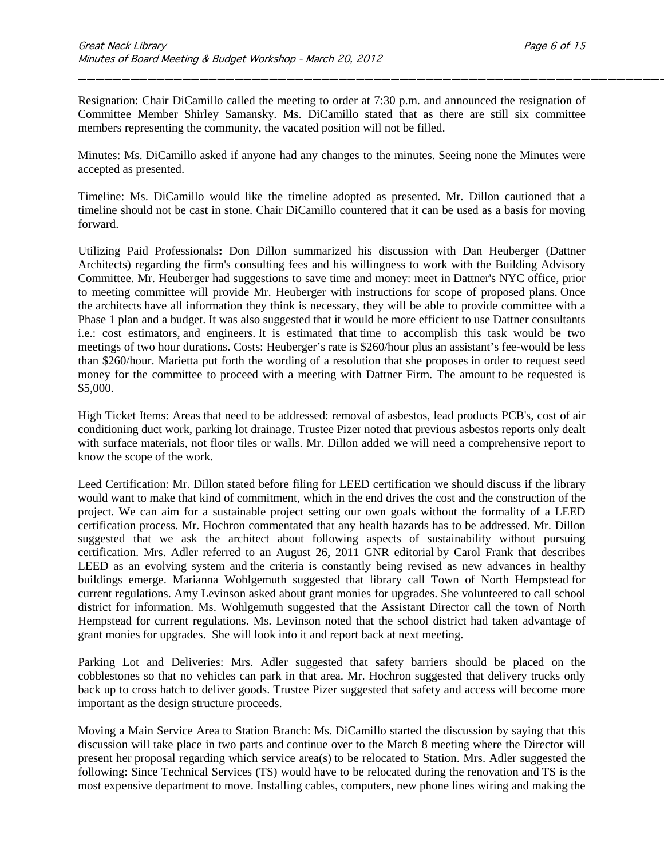Resignation: Chair DiCamillo called the meeting to order at 7:30 p.m. and announced the resignation of Committee Member Shirley Samansky. Ms. DiCamillo stated that as there are still six committee members representing the community, the vacated position will not be filled.

\_\_\_\_\_\_\_\_\_\_\_\_\_\_\_\_\_\_\_\_\_\_\_\_\_\_\_\_\_\_\_\_\_\_\_\_\_\_\_\_\_\_\_\_\_\_\_\_\_\_\_\_\_\_\_\_\_\_\_\_\_\_\_\_\_\_\_\_

Minutes: Ms. DiCamillo asked if anyone had any changes to the minutes. Seeing none the Minutes were accepted as presented.

Timeline: Ms. DiCamillo would like the timeline adopted as presented. Mr. Dillon cautioned that a timeline should not be cast in stone. Chair DiCamillo countered that it can be used as a basis for moving forward.

Utilizing Paid Professionals**:** Don Dillon summarized his discussion with Dan Heuberger (Dattner Architects) regarding the firm's consulting fees and his willingness to work with the Building Advisory Committee. Mr. Heuberger had suggestions to save time and money: meet in Dattner's NYC office, prior to meeting committee will provide Mr. Heuberger with instructions for scope of proposed plans. Once the architects have all information they think is necessary, they will be able to provide committee with a Phase 1 plan and a budget. It was also suggested that it would be more efficient to use Dattner consultants i.e.: cost estimators, and engineers. It is estimated that time to accomplish this task would be two meetings of two hour durations. Costs: Heuberger's rate is \$260/hour plus an assistant's fee-would be less than \$260/hour. Marietta put forth the wording of a resolution that she proposes in order to request seed money for the committee to proceed with a meeting with Dattner Firm. The amount to be requested is \$5,000.

High Ticket Items: Areas that need to be addressed: removal of asbestos, lead products PCB's, cost of air conditioning duct work, parking lot drainage. Trustee Pizer noted that previous asbestos reports only dealt with surface materials, not floor tiles or walls. Mr. Dillon added we will need a comprehensive report to know the scope of the work.

Leed Certification: Mr. Dillon stated before filing for LEED certification we should discuss if the library would want to make that kind of commitment, which in the end drives the cost and the construction of the project. We can aim for a sustainable project setting our own goals without the formality of a LEED certification process. Mr. Hochron commentated that any health hazards has to be addressed. Mr. Dillon suggested that we ask the architect about following aspects of sustainability without pursuing certification. Mrs. Adler referred to an August 26, 2011 GNR editorial by Carol Frank that describes LEED as an evolving system and the criteria is constantly being revised as new advances in healthy buildings emerge. Marianna Wohlgemuth suggested that library call Town of North Hempstead for current regulations. Amy Levinson asked about grant monies for upgrades. She volunteered to call school district for information. Ms. Wohlgemuth suggested that the Assistant Director call the town of North Hempstead for current regulations. Ms. Levinson noted that the school district had taken advantage of grant monies for upgrades. She will look into it and report back at next meeting.

Parking Lot and Deliveries: Mrs. Adler suggested that safety barriers should be placed on the cobblestones so that no vehicles can park in that area. Mr. Hochron suggested that delivery trucks only back up to cross hatch to deliver goods. Trustee Pizer suggested that safety and access will become more important as the design structure proceeds.

Moving a Main Service Area to Station Branch: Ms. DiCamillo started the discussion by saying that this discussion will take place in two parts and continue over to the March 8 meeting where the Director will present her proposal regarding which service area(s) to be relocated to Station. Mrs. Adler suggested the following: Since Technical Services (TS) would have to be relocated during the renovation and TS is the most expensive department to move. Installing cables, computers, new phone lines wiring and making the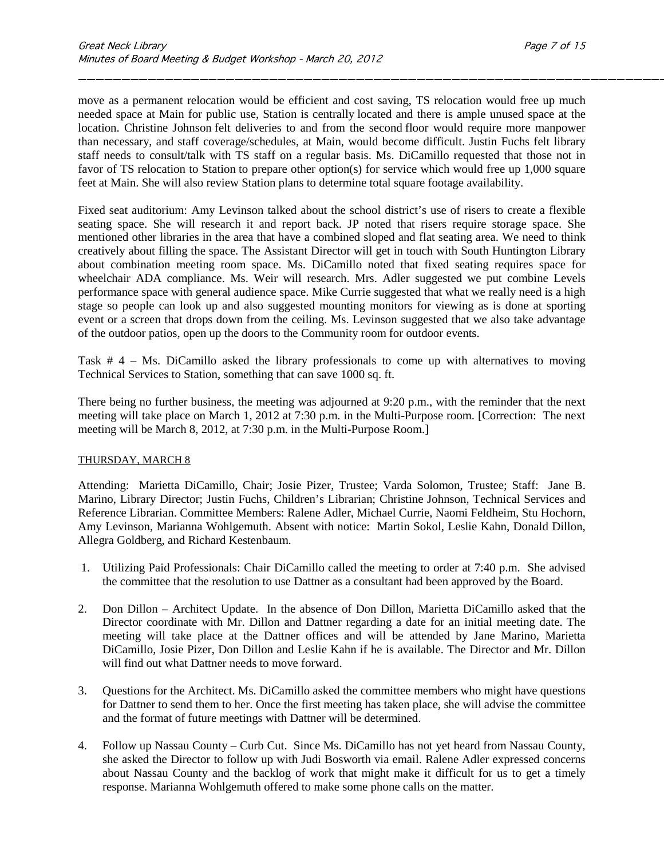move as a permanent relocation would be efficient and cost saving, TS relocation would free up much needed space at Main for public use, Station is centrally located and there is ample unused space at the location. Christine Johnson felt deliveries to and from the second floor would require more manpower than necessary, and staff coverage/schedules, at Main, would become difficult. Justin Fuchs felt library staff needs to consult/talk with TS staff on a regular basis. Ms. DiCamillo requested that those not in favor of TS relocation to Station to prepare other option(s) for service which would free up 1,000 square feet at Main. She will also review Station plans to determine total square footage availability.

\_\_\_\_\_\_\_\_\_\_\_\_\_\_\_\_\_\_\_\_\_\_\_\_\_\_\_\_\_\_\_\_\_\_\_\_\_\_\_\_\_\_\_\_\_\_\_\_\_\_\_\_\_\_\_\_\_\_\_\_\_\_\_\_\_\_\_\_

Fixed seat auditorium: Amy Levinson talked about the school district's use of risers to create a flexible seating space. She will research it and report back. JP noted that risers require storage space. She mentioned other libraries in the area that have a combined sloped and flat seating area. We need to think creatively about filling the space. The Assistant Director will get in touch with South Huntington Library about combination meeting room space. Ms. DiCamillo noted that fixed seating requires space for wheelchair ADA compliance. Ms. Weir will research. Mrs. Adler suggested we put combine Levels performance space with general audience space. Mike Currie suggested that what we really need is a high stage so people can look up and also suggested mounting monitors for viewing as is done at sporting event or a screen that drops down from the ceiling. Ms. Levinson suggested that we also take advantage of the outdoor patios, open up the doors to the Community room for outdoor events.

Task # 4 – Ms. DiCamillo asked the library professionals to come up with alternatives to moving Technical Services to Station, something that can save 1000 sq. ft.

There being no further business, the meeting was adjourned at 9:20 p.m., with the reminder that the next meeting will take place on March 1, 2012 at 7:30 p.m. in the Multi-Purpose room. [Correction: The next meeting will be March 8, 2012, at 7:30 p.m. in the Multi-Purpose Room.]

#### THURSDAY, MARCH 8

Attending: Marietta DiCamillo, Chair; Josie Pizer, Trustee; Varda Solomon, Trustee; Staff: Jane B. Marino, Library Director; Justin Fuchs, Children's Librarian; Christine Johnson, Technical Services and Reference Librarian. Committee Members: Ralene Adler, Michael Currie, Naomi Feldheim, Stu Hochorn, Amy Levinson, Marianna Wohlgemuth. Absent with notice: Martin Sokol, Leslie Kahn, Donald Dillon, Allegra Goldberg, and Richard Kestenbaum.

- 1. Utilizing Paid Professionals: Chair DiCamillo called the meeting to order at 7:40 p.m. She advised the committee that the resolution to use Dattner as a consultant had been approved by the Board.
- 2. Don Dillon Architect Update. In the absence of Don Dillon, Marietta DiCamillo asked that the Director coordinate with Mr. Dillon and Dattner regarding a date for an initial meeting date. The meeting will take place at the Dattner offices and will be attended by Jane Marino, Marietta DiCamillo, Josie Pizer, Don Dillon and Leslie Kahn if he is available. The Director and Mr. Dillon will find out what Dattner needs to move forward.
- 3. Questions for the Architect. Ms. DiCamillo asked the committee members who might have questions for Dattner to send them to her. Once the first meeting has taken place, she will advise the committee and the format of future meetings with Dattner will be determined.
- 4. Follow up Nassau County Curb Cut. Since Ms. DiCamillo has not yet heard from Nassau County, she asked the Director to follow up with Judi Bosworth via email. Ralene Adler expressed concerns about Nassau County and the backlog of work that might make it difficult for us to get a timely response. Marianna Wohlgemuth offered to make some phone calls on the matter.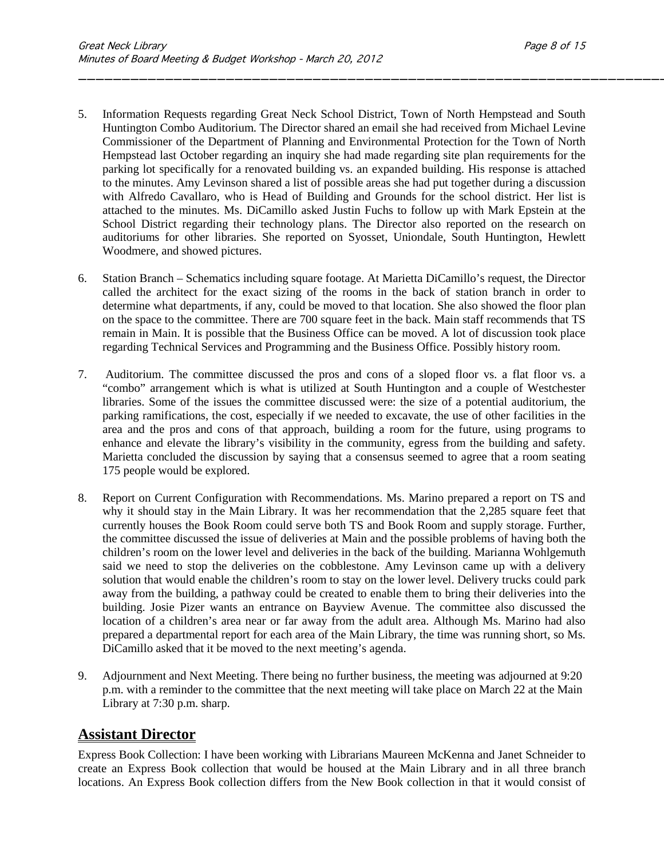5. Information Requests regarding Great Neck School District, Town of North Hempstead and South Huntington Combo Auditorium. The Director shared an email she had received from Michael Levine Commissioner of the Department of Planning and Environmental Protection for the Town of North Hempstead last October regarding an inquiry she had made regarding site plan requirements for the parking lot specifically for a renovated building vs. an expanded building. His response is attached to the minutes. Amy Levinson shared a list of possible areas she had put together during a discussion with Alfredo Cavallaro, who is Head of Building and Grounds for the school district. Her list is attached to the minutes. Ms. DiCamillo asked Justin Fuchs to follow up with Mark Epstein at the School District regarding their technology plans. The Director also reported on the research on auditoriums for other libraries. She reported on Syosset, Uniondale, South Huntington, Hewlett Woodmere, and showed pictures.

\_\_\_\_\_\_\_\_\_\_\_\_\_\_\_\_\_\_\_\_\_\_\_\_\_\_\_\_\_\_\_\_\_\_\_\_\_\_\_\_\_\_\_\_\_\_\_\_\_\_\_\_\_\_\_\_\_\_\_\_\_\_\_\_\_\_\_\_

- 6. Station Branch Schematics including square footage. At Marietta DiCamillo's request, the Director called the architect for the exact sizing of the rooms in the back of station branch in order to determine what departments, if any, could be moved to that location. She also showed the floor plan on the space to the committee. There are 700 square feet in the back. Main staff recommends that TS remain in Main. It is possible that the Business Office can be moved. A lot of discussion took place regarding Technical Services and Programming and the Business Office. Possibly history room.
- 7. Auditorium. The committee discussed the pros and cons of a sloped floor vs. a flat floor vs. a "combo" arrangement which is what is utilized at South Huntington and a couple of Westchester libraries. Some of the issues the committee discussed were: the size of a potential auditorium, the parking ramifications, the cost, especially if we needed to excavate, the use of other facilities in the area and the pros and cons of that approach, building a room for the future, using programs to enhance and elevate the library's visibility in the community, egress from the building and safety. Marietta concluded the discussion by saying that a consensus seemed to agree that a room seating 175 people would be explored.
- 8. Report on Current Configuration with Recommendations. Ms. Marino prepared a report on TS and why it should stay in the Main Library. It was her recommendation that the 2,285 square feet that currently houses the Book Room could serve both TS and Book Room and supply storage. Further, the committee discussed the issue of deliveries at Main and the possible problems of having both the children's room on the lower level and deliveries in the back of the building. Marianna Wohlgemuth said we need to stop the deliveries on the cobblestone. Amy Levinson came up with a delivery solution that would enable the children's room to stay on the lower level. Delivery trucks could park away from the building, a pathway could be created to enable them to bring their deliveries into the building. Josie Pizer wants an entrance on Bayview Avenue. The committee also discussed the location of a children's area near or far away from the adult area. Although Ms. Marino had also prepared a departmental report for each area of the Main Library, the time was running short, so Ms. DiCamillo asked that it be moved to the next meeting's agenda.
- 9. Adjournment and Next Meeting. There being no further business, the meeting was adjourned at 9:20 p.m. with a reminder to the committee that the next meeting will take place on March 22 at the Main Library at 7:30 p.m. sharp.

### **Assistant Director**

Express Book Collection: I have been working with Librarians Maureen McKenna and Janet Schneider to create an Express Book collection that would be housed at the Main Library and in all three branch locations. An Express Book collection differs from the New Book collection in that it would consist of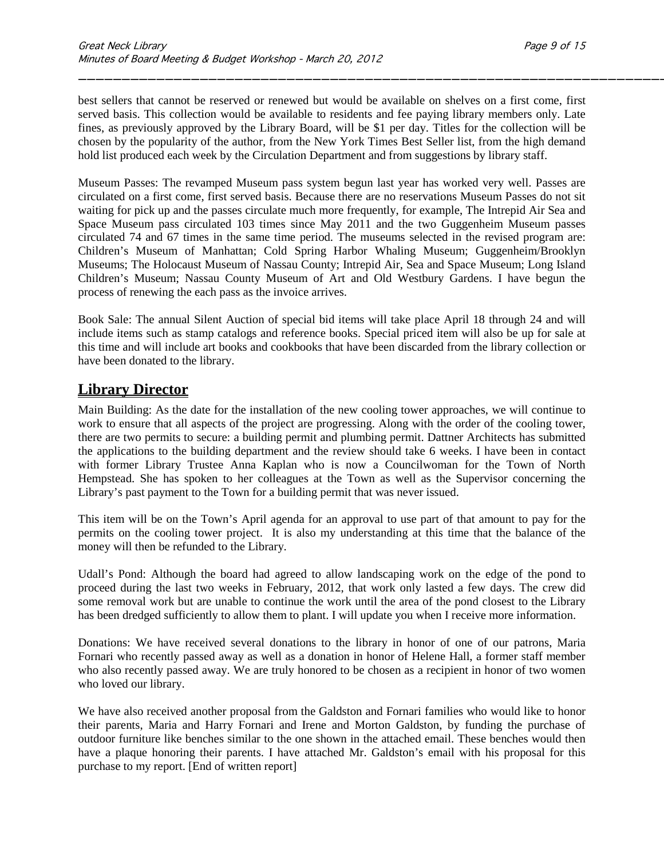best sellers that cannot be reserved or renewed but would be available on shelves on a first come, first served basis. This collection would be available to residents and fee paying library members only. Late fines, as previously approved by the Library Board, will be \$1 per day. Titles for the collection will be chosen by the popularity of the author, from the New York Times Best Seller list, from the high demand hold list produced each week by the Circulation Department and from suggestions by library staff.

\_\_\_\_\_\_\_\_\_\_\_\_\_\_\_\_\_\_\_\_\_\_\_\_\_\_\_\_\_\_\_\_\_\_\_\_\_\_\_\_\_\_\_\_\_\_\_\_\_\_\_\_\_\_\_\_\_\_\_\_\_\_\_\_\_\_\_\_

Museum Passes: The revamped Museum pass system begun last year has worked very well. Passes are circulated on a first come, first served basis. Because there are no reservations Museum Passes do not sit waiting for pick up and the passes circulate much more frequently, for example, The Intrepid Air Sea and Space Museum pass circulated 103 times since May 2011 and the two Guggenheim Museum passes circulated 74 and 67 times in the same time period. The museums selected in the revised program are: Children's Museum of Manhattan; Cold Spring Harbor Whaling Museum; Guggenheim/Brooklyn Museums; The Holocaust Museum of Nassau County; Intrepid Air, Sea and Space Museum; Long Island Children's Museum; Nassau County Museum of Art and Old Westbury Gardens. I have begun the process of renewing the each pass as the invoice arrives.

Book Sale: The annual Silent Auction of special bid items will take place April 18 through 24 and will include items such as stamp catalogs and reference books. Special priced item will also be up for sale at this time and will include art books and cookbooks that have been discarded from the library collection or have been donated to the library.

## **Library Director**

Main Building: As the date for the installation of the new cooling tower approaches, we will continue to work to ensure that all aspects of the project are progressing. Along with the order of the cooling tower, there are two permits to secure: a building permit and plumbing permit. Dattner Architects has submitted the applications to the building department and the review should take 6 weeks. I have been in contact with former Library Trustee Anna Kaplan who is now a Councilwoman for the Town of North Hempstead. She has spoken to her colleagues at the Town as well as the Supervisor concerning the Library's past payment to the Town for a building permit that was never issued.

This item will be on the Town's April agenda for an approval to use part of that amount to pay for the permits on the cooling tower project. It is also my understanding at this time that the balance of the money will then be refunded to the Library.

Udall's Pond: Although the board had agreed to allow landscaping work on the edge of the pond to proceed during the last two weeks in February, 2012, that work only lasted a few days. The crew did some removal work but are unable to continue the work until the area of the pond closest to the Library has been dredged sufficiently to allow them to plant. I will update you when I receive more information.

Donations: We have received several donations to the library in honor of one of our patrons, Maria Fornari who recently passed away as well as a donation in honor of Helene Hall, a former staff member who also recently passed away. We are truly honored to be chosen as a recipient in honor of two women who loved our library.

We have also received another proposal from the Galdston and Fornari families who would like to honor their parents, Maria and Harry Fornari and Irene and Morton Galdston, by funding the purchase of outdoor furniture like benches similar to the one shown in the attached email. These benches would then have a plaque honoring their parents. I have attached Mr. Galdston's email with his proposal for this purchase to my report. [End of written report]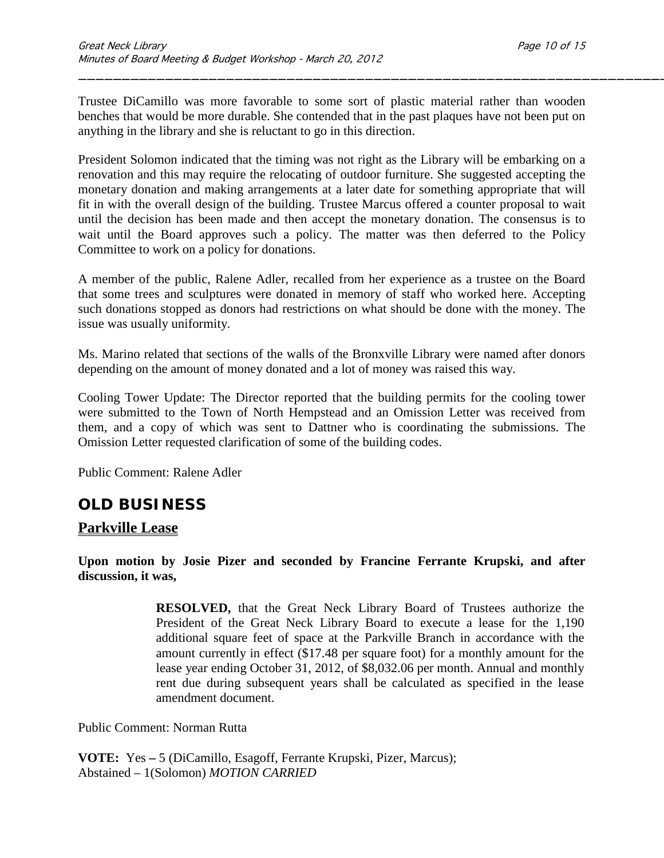Trustee DiCamillo was more favorable to some sort of plastic material rather than wooden benches that would be more durable. She contended that in the past plaques have not been put on anything in the library and she is reluctant to go in this direction.

\_\_\_\_\_\_\_\_\_\_\_\_\_\_\_\_\_\_\_\_\_\_\_\_\_\_\_\_\_\_\_\_\_\_\_\_\_\_\_\_\_\_\_\_\_\_\_\_\_\_\_\_\_\_\_\_\_\_\_\_\_\_\_\_\_\_\_\_

President Solomon indicated that the timing was not right as the Library will be embarking on a renovation and this may require the relocating of outdoor furniture. She suggested accepting the monetary donation and making arrangements at a later date for something appropriate that will fit in with the overall design of the building. Trustee Marcus offered a counter proposal to wait until the decision has been made and then accept the monetary donation. The consensus is to wait until the Board approves such a policy. The matter was then deferred to the Policy Committee to work on a policy for donations.

A member of the public, Ralene Adler, recalled from her experience as a trustee on the Board that some trees and sculptures were donated in memory of staff who worked here. Accepting such donations stopped as donors had restrictions on what should be done with the money. The issue was usually uniformity.

Ms. Marino related that sections of the walls of the Bronxville Library were named after donors depending on the amount of money donated and a lot of money was raised this way.

Cooling Tower Update: The Director reported that the building permits for the cooling tower were submitted to the Town of North Hempstead and an Omission Letter was received from them, and a copy of which was sent to Dattner who is coordinating the submissions. The Omission Letter requested clarification of some of the building codes.

Public Comment: Ralene Adler

### **OLD BUSINESS**

### **Parkville Lease**

**Upon motion by Josie Pizer and seconded by Francine Ferrante Krupski, and after discussion, it was,**

> **RESOLVED,** that the Great Neck Library Board of Trustees authorize the President of the Great Neck Library Board to execute a lease for the 1,190 additional square feet of space at the Parkville Branch in accordance with the amount currently in effect (\$17.48 per square foot) for a monthly amount for the lease year ending October 31, 2012, of \$8,032.06 per month. Annual and monthly rent due during subsequent years shall be calculated as specified in the lease amendment document.

Public Comment: Norman Rutta

**VOTE:** Yes **–** 5 (DiCamillo, Esagoff, Ferrante Krupski, Pizer, Marcus); Abstained – 1(Solomon) *MOTION CARRIED*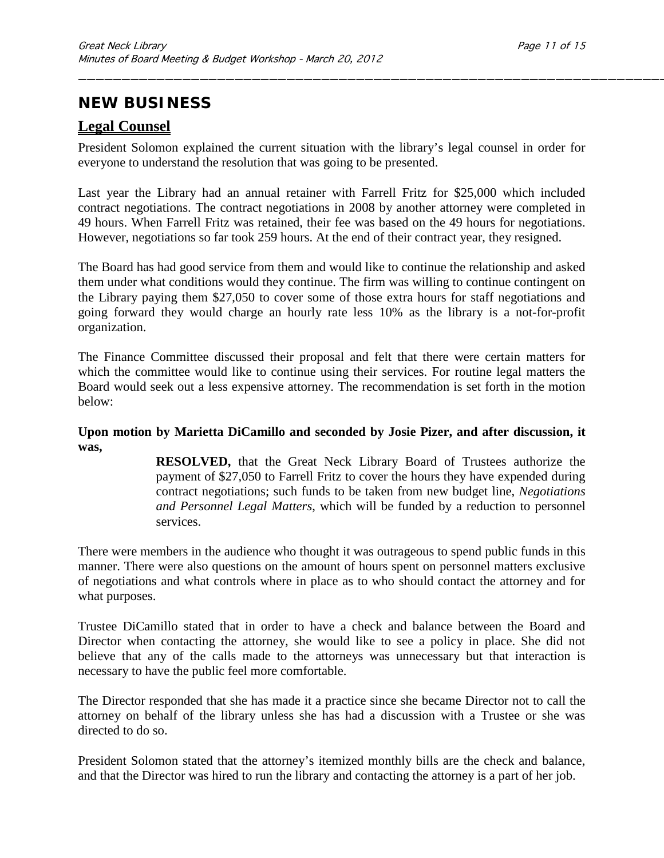## **NEW BUSINESS**

### **Legal Counsel**

President Solomon explained the current situation with the library's legal counsel in order for everyone to understand the resolution that was going to be presented.

\_\_\_\_\_\_\_\_\_\_\_\_\_\_\_\_\_\_\_\_\_\_\_\_\_\_\_\_\_\_\_\_\_\_\_\_\_\_\_\_\_\_\_\_\_\_\_\_\_\_\_\_\_\_\_\_\_\_\_\_\_\_\_\_\_\_\_\_

Last year the Library had an annual retainer with Farrell Fritz for \$25,000 which included contract negotiations. The contract negotiations in 2008 by another attorney were completed in 49 hours. When Farrell Fritz was retained, their fee was based on the 49 hours for negotiations. However, negotiations so far took 259 hours. At the end of their contract year, they resigned.

The Board has had good service from them and would like to continue the relationship and asked them under what conditions would they continue. The firm was willing to continue contingent on the Library paying them \$27,050 to cover some of those extra hours for staff negotiations and going forward they would charge an hourly rate less 10% as the library is a not-for-profit organization.

The Finance Committee discussed their proposal and felt that there were certain matters for which the committee would like to continue using their services. For routine legal matters the Board would seek out a less expensive attorney. The recommendation is set forth in the motion below:

#### **Upon motion by Marietta DiCamillo and seconded by Josie Pizer, and after discussion, it was,**

**RESOLVED,** that the Great Neck Library Board of Trustees authorize the payment of \$27,050 to Farrell Fritz to cover the hours they have expended during contract negotiations; such funds to be taken from new budget line, *Negotiations and Personnel Legal Matters*, which will be funded by a reduction to personnel services.

There were members in the audience who thought it was outrageous to spend public funds in this manner. There were also questions on the amount of hours spent on personnel matters exclusive of negotiations and what controls where in place as to who should contact the attorney and for what purposes.

Trustee DiCamillo stated that in order to have a check and balance between the Board and Director when contacting the attorney, she would like to see a policy in place. She did not believe that any of the calls made to the attorneys was unnecessary but that interaction is necessary to have the public feel more comfortable.

The Director responded that she has made it a practice since she became Director not to call the attorney on behalf of the library unless she has had a discussion with a Trustee or she was directed to do so.

President Solomon stated that the attorney's itemized monthly bills are the check and balance, and that the Director was hired to run the library and contacting the attorney is a part of her job.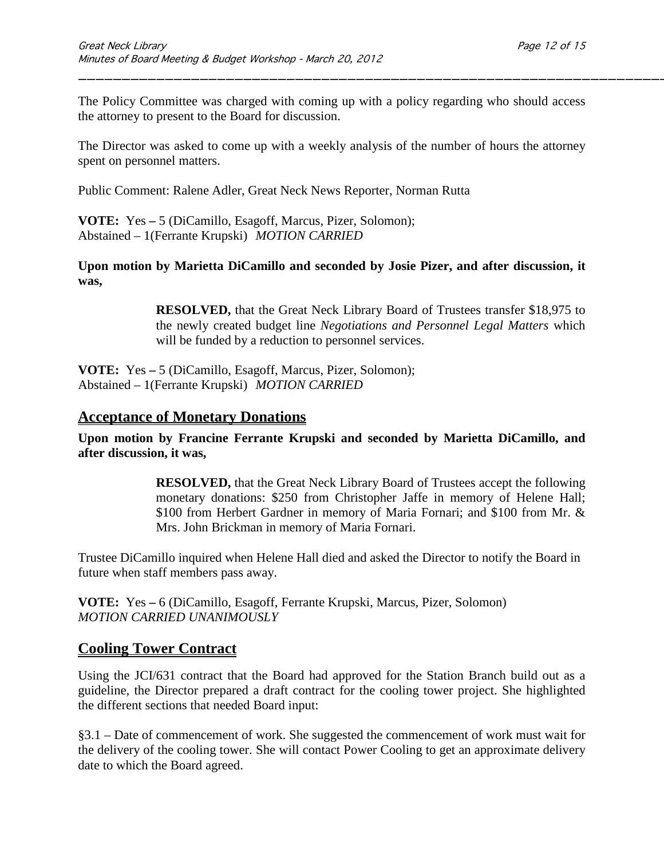The Policy Committee was charged with coming up with a policy regarding who should access the attorney to present to the Board for discussion.

\_\_\_\_\_\_\_\_\_\_\_\_\_\_\_\_\_\_\_\_\_\_\_\_\_\_\_\_\_\_\_\_\_\_\_\_\_\_\_\_\_\_\_\_\_\_\_\_\_\_\_\_\_\_\_\_\_\_\_\_\_\_\_\_\_\_\_\_

The Director was asked to come up with a weekly analysis of the number of hours the attorney spent on personnel matters.

Public Comment: Ralene Adler, Great Neck News Reporter, Norman Rutta

**VOTE:** Yes **–** 5 (DiCamillo, Esagoff, Marcus, Pizer, Solomon); Abstained – 1(Ferrante Krupski) *MOTION CARRIED* 

**Upon motion by Marietta DiCamillo and seconded by Josie Pizer, and after discussion, it was,**

> **RESOLVED,** that the Great Neck Library Board of Trustees transfer \$18,975 to the newly created budget line *Negotiations and Personnel Legal Matters* which will be funded by a reduction to personnel services.

**VOTE:** Yes **–** 5 (DiCamillo, Esagoff, Marcus, Pizer, Solomon); Abstained – 1(Ferrante Krupski) *MOTION CARRIED* 

### **Acceptance of Monetary Donations**

**Upon motion by Francine Ferrante Krupski and seconded by Marietta DiCamillo, and after discussion, it was,**

> **RESOLVED,** that the Great Neck Library Board of Trustees accept the following monetary donations: \$250 from Christopher Jaffe in memory of Helene Hall; \$100 from Herbert Gardner in memory of Maria Fornari; and \$100 from Mr. & Mrs. John Brickman in memory of Maria Fornari.

Trustee DiCamillo inquired when Helene Hall died and asked the Director to notify the Board in future when staff members pass away.

**VOTE:** Yes **–** 6 (DiCamillo, Esagoff, Ferrante Krupski, Marcus, Pizer, Solomon) *MOTION CARRIED UNANIMOUSLY*

### **Cooling Tower Contract**

Using the JCI/631 contract that the Board had approved for the Station Branch build out as a guideline, the Director prepared a draft contract for the cooling tower project. She highlighted the different sections that needed Board input:

§3.1 – Date of commencement of work. She suggested the commencement of work must wait for the delivery of the cooling tower. She will contact Power Cooling to get an approximate delivery date to which the Board agreed.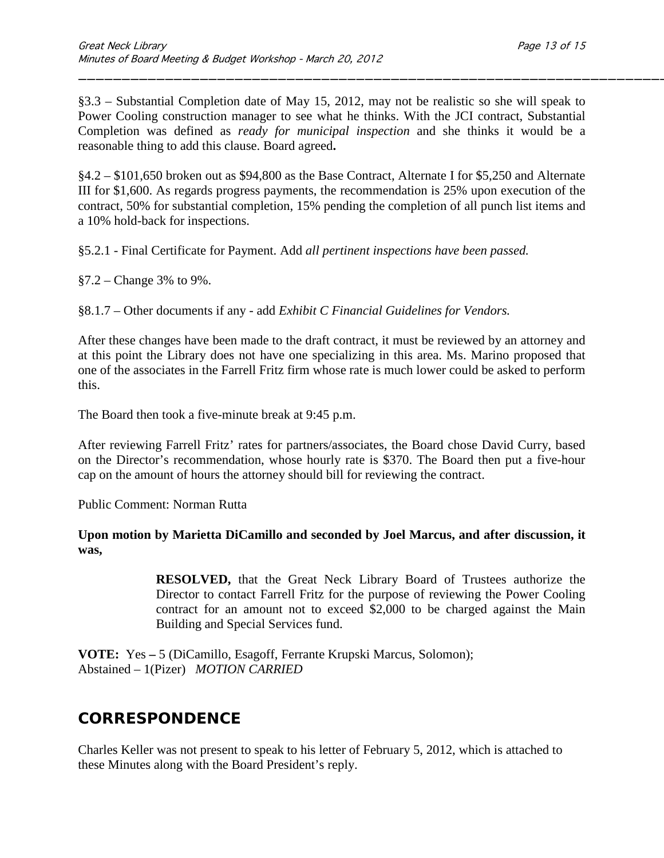§3.3 – Substantial Completion date of May 15, 2012, may not be realistic so she will speak to Power Cooling construction manager to see what he thinks. With the JCI contract, Substantial Completion was defined as *ready for municipal inspection* and she thinks it would be a reasonable thing to add this clause. Board agreed**.**

\_\_\_\_\_\_\_\_\_\_\_\_\_\_\_\_\_\_\_\_\_\_\_\_\_\_\_\_\_\_\_\_\_\_\_\_\_\_\_\_\_\_\_\_\_\_\_\_\_\_\_\_\_\_\_\_\_\_\_\_\_\_\_\_\_\_\_\_

§4.2 – \$101,650 broken out as \$94,800 as the Base Contract, Alternate I for \$5,250 and Alternate III for \$1,600. As regards progress payments, the recommendation is 25% upon execution of the contract, 50% for substantial completion, 15% pending the completion of all punch list items and a 10% hold-back for inspections.

§5.2.1 - Final Certificate for Payment. Add *all pertinent inspections have been passed.*

§7.2 – Change 3% to 9%.

§8.1.7 – Other documents if any - add *Exhibit C Financial Guidelines for Vendors.*

After these changes have been made to the draft contract, it must be reviewed by an attorney and at this point the Library does not have one specializing in this area. Ms. Marino proposed that one of the associates in the Farrell Fritz firm whose rate is much lower could be asked to perform this.

The Board then took a five-minute break at 9:45 p.m.

After reviewing Farrell Fritz' rates for partners/associates, the Board chose David Curry, based on the Director's recommendation, whose hourly rate is \$370. The Board then put a five-hour cap on the amount of hours the attorney should bill for reviewing the contract.

Public Comment: Norman Rutta

#### **Upon motion by Marietta DiCamillo and seconded by Joel Marcus, and after discussion, it was,**

**RESOLVED,** that the Great Neck Library Board of Trustees authorize the Director to contact Farrell Fritz for the purpose of reviewing the Power Cooling contract for an amount not to exceed \$2,000 to be charged against the Main Building and Special Services fund.

**VOTE:** Yes **–** 5 (DiCamillo, Esagoff, Ferrante Krupski Marcus, Solomon); Abstained – 1(Pizer) *MOTION CARRIED*

### **CORRESPONDENCE**

Charles Keller was not present to speak to his letter of February 5, 2012, which is attached to these Minutes along with the Board President's reply.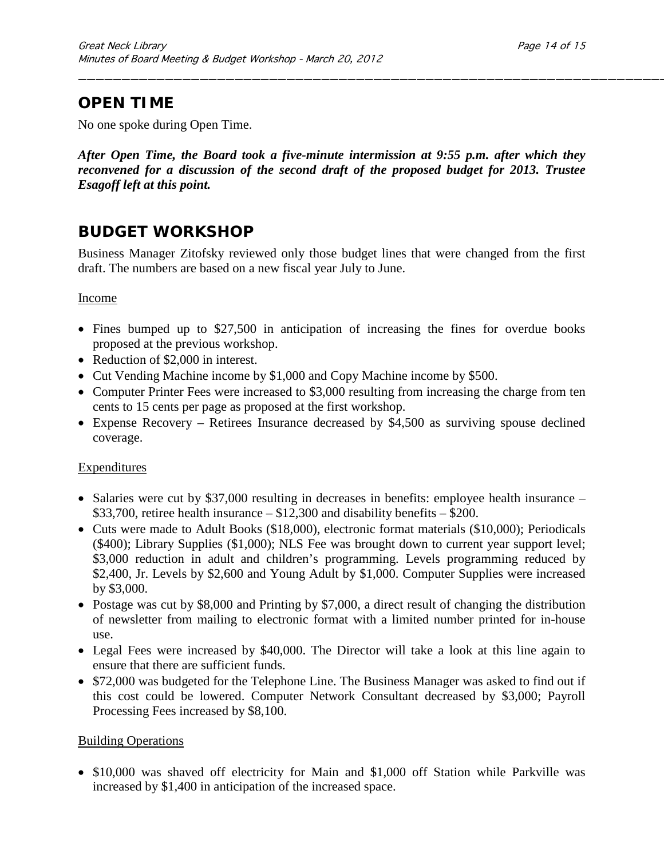# **OPEN TIME**

No one spoke during Open Time.

*After Open Time, the Board took a five-minute intermission at 9:55 p.m. after which they reconvened for a discussion of the second draft of the proposed budget for 2013. Trustee Esagoff left at this point.*

\_\_\_\_\_\_\_\_\_\_\_\_\_\_\_\_\_\_\_\_\_\_\_\_\_\_\_\_\_\_\_\_\_\_\_\_\_\_\_\_\_\_\_\_\_\_\_\_\_\_\_\_\_\_\_\_\_\_\_\_\_\_\_\_\_\_\_\_

# **BUDGET WORKSHOP**

Business Manager Zitofsky reviewed only those budget lines that were changed from the first draft. The numbers are based on a new fiscal year July to June.

#### Income

- Fines bumped up to \$27,500 in anticipation of increasing the fines for overdue books proposed at the previous workshop.
- Reduction of \$2,000 in interest.
- Cut Vending Machine income by \$1,000 and Copy Machine income by \$500.
- Computer Printer Fees were increased to \$3,000 resulting from increasing the charge from ten cents to 15 cents per page as proposed at the first workshop.
- Expense Recovery Retirees Insurance decreased by \$4,500 as surviving spouse declined coverage.

### Expenditures

- Salaries were cut by \$37,000 resulting in decreases in benefits: employee health insurance  $$33,700$ , retiree health insurance  $- $12,300$  and disability benefits  $- $200$ .
- Cuts were made to Adult Books (\$18,000), electronic format materials (\$10,000); Periodicals (\$400); Library Supplies (\$1,000); NLS Fee was brought down to current year support level; \$3,000 reduction in adult and children's programming. Levels programming reduced by \$2,400, Jr. Levels by \$2,600 and Young Adult by \$1,000. Computer Supplies were increased by \$3,000.
- Postage was cut by \$8,000 and Printing by \$7,000, a direct result of changing the distribution of newsletter from mailing to electronic format with a limited number printed for in-house use.
- Legal Fees were increased by \$40,000. The Director will take a look at this line again to ensure that there are sufficient funds.
- \$72,000 was budgeted for the Telephone Line. The Business Manager was asked to find out if this cost could be lowered. Computer Network Consultant decreased by \$3,000; Payroll Processing Fees increased by \$8,100.

### Building Operations

• \$10,000 was shaved off electricity for Main and \$1,000 off Station while Parkville was increased by \$1,400 in anticipation of the increased space.